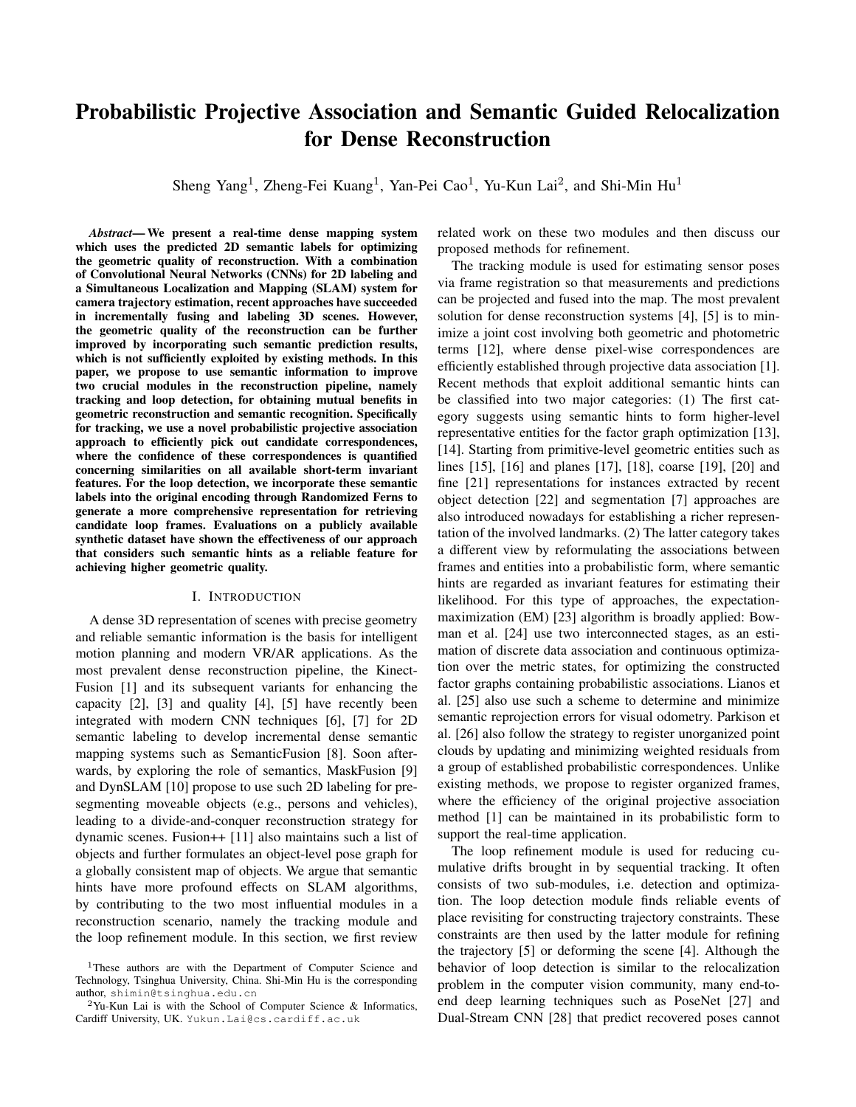# Probabilistic Projective Association and Semantic Guided Relocalization for Dense Reconstruction

Sheng Yang<sup>1</sup>, Zheng-Fei Kuang<sup>1</sup>, Yan-Pei Cao<sup>1</sup>, Yu-Kun Lai<sup>2</sup>, and Shi-Min Hu<sup>1</sup>

*Abstract*— We present a real-time dense mapping system which uses the predicted 2D semantic labels for optimizing the geometric quality of reconstruction. With a combination of Convolutional Neural Networks (CNNs) for 2D labeling and a Simultaneous Localization and Mapping (SLAM) system for camera trajectory estimation, recent approaches have succeeded in incrementally fusing and labeling 3D scenes. However, the geometric quality of the reconstruction can be further improved by incorporating such semantic prediction results, which is not sufficiently exploited by existing methods. In this paper, we propose to use semantic information to improve two crucial modules in the reconstruction pipeline, namely tracking and loop detection, for obtaining mutual benefits in geometric reconstruction and semantic recognition. Specifically for tracking, we use a novel probabilistic projective association approach to efficiently pick out candidate correspondences, where the confidence of these correspondences is quantified concerning similarities on all available short-term invariant features. For the loop detection, we incorporate these semantic labels into the original encoding through Randomized Ferns to generate a more comprehensive representation for retrieving candidate loop frames. Evaluations on a publicly available synthetic dataset have shown the effectiveness of our approach that considers such semantic hints as a reliable feature for achieving higher geometric quality.

#### I. INTRODUCTION

A dense 3D representation of scenes with precise geometry and reliable semantic information is the basis for intelligent motion planning and modern VR/AR applications. As the most prevalent dense reconstruction pipeline, the Kinect-Fusion [1] and its subsequent variants for enhancing the capacity [2], [3] and quality [4], [5] have recently been integrated with modern CNN techniques [6], [7] for 2D semantic labeling to develop incremental dense semantic mapping systems such as SemanticFusion [8]. Soon afterwards, by exploring the role of semantics, MaskFusion [9] and DynSLAM [10] propose to use such 2D labeling for presegmenting moveable objects (e.g., persons and vehicles), leading to a divide-and-conquer reconstruction strategy for dynamic scenes. Fusion++ [11] also maintains such a list of objects and further formulates an object-level pose graph for a globally consistent map of objects. We argue that semantic hints have more profound effects on SLAM algorithms, by contributing to the two most influential modules in a reconstruction scenario, namely the tracking module and the loop refinement module. In this section, we first review

related work on these two modules and then discuss our proposed methods for refinement.

The tracking module is used for estimating sensor poses via frame registration so that measurements and predictions can be projected and fused into the map. The most prevalent solution for dense reconstruction systems [4], [5] is to minimize a joint cost involving both geometric and photometric terms [12], where dense pixel-wise correspondences are efficiently established through projective data association [1]. Recent methods that exploit additional semantic hints can be classified into two major categories: (1) The first category suggests using semantic hints to form higher-level representative entities for the factor graph optimization [13], [14]. Starting from primitive-level geometric entities such as lines [15], [16] and planes [17], [18], coarse [19], [20] and fine [21] representations for instances extracted by recent object detection [22] and segmentation [7] approaches are also introduced nowadays for establishing a richer representation of the involved landmarks. (2) The latter category takes a different view by reformulating the associations between frames and entities into a probabilistic form, where semantic hints are regarded as invariant features for estimating their likelihood. For this type of approaches, the expectationmaximization (EM) [23] algorithm is broadly applied: Bowman et al. [24] use two interconnected stages, as an estimation of discrete data association and continuous optimization over the metric states, for optimizing the constructed factor graphs containing probabilistic associations. Lianos et al. [25] also use such a scheme to determine and minimize semantic reprojection errors for visual odometry. Parkison et al. [26] also follow the strategy to register unorganized point clouds by updating and minimizing weighted residuals from a group of established probabilistic correspondences. Unlike existing methods, we propose to register organized frames, where the efficiency of the original projective association method [1] can be maintained in its probabilistic form to support the real-time application.

The loop refinement module is used for reducing cumulative drifts brought in by sequential tracking. It often consists of two sub-modules, i.e. detection and optimization. The loop detection module finds reliable events of place revisiting for constructing trajectory constraints. These constraints are then used by the latter module for refining the trajectory [5] or deforming the scene [4]. Although the behavior of loop detection is similar to the relocalization problem in the computer vision community, many end-toend deep learning techniques such as PoseNet [27] and Dual-Stream CNN [28] that predict recovered poses cannot

<sup>&</sup>lt;sup>1</sup>These authors are with the Department of Computer Science and Technology, Tsinghua University, China. Shi-Min Hu is the corresponding author, shimin@tsinghua.edu.cn

<sup>2</sup>Yu-Kun Lai is with the School of Computer Science & Informatics, Cardiff University, UK. Yukun.Lai@cs.cardiff.ac.uk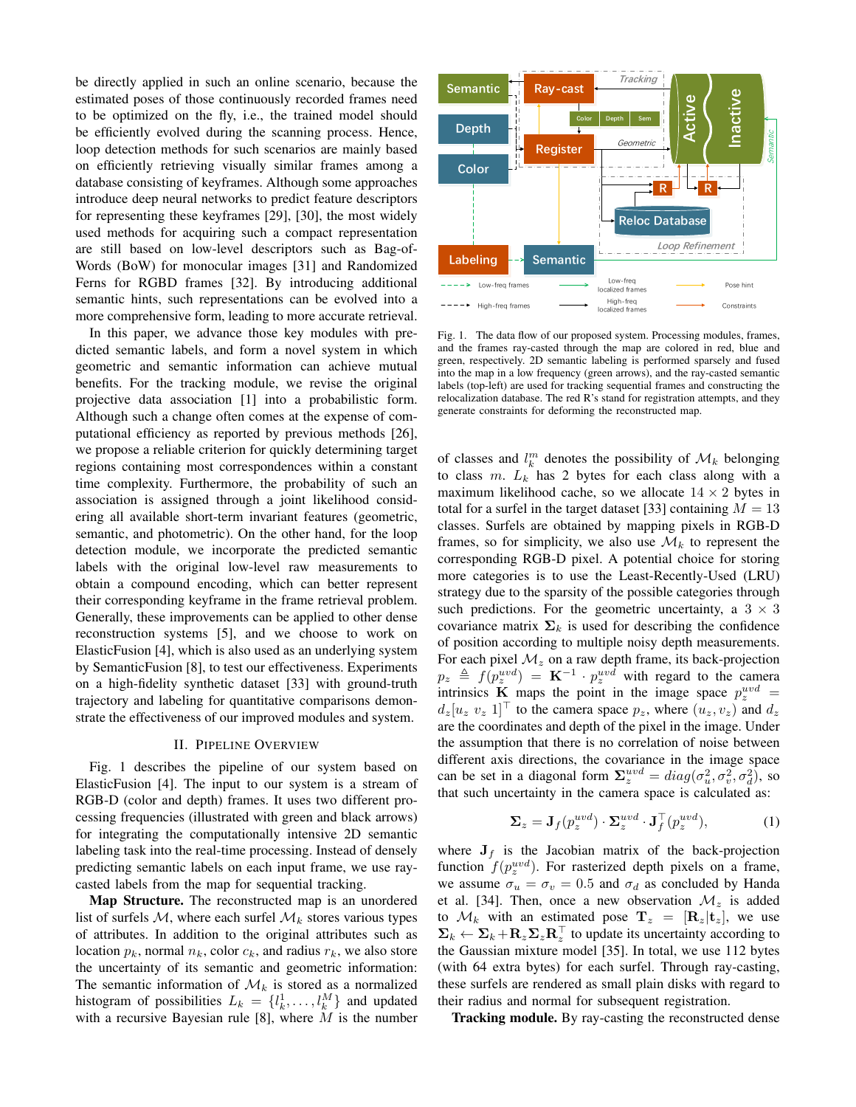be directly applied in such an online scenario, because the estimated poses of those continuously recorded frames need to be optimized on the fly, i.e., the trained model should be efficiently evolved during the scanning process. Hence, loop detection methods for such scenarios are mainly based on efficiently retrieving visually similar frames among a database consisting of keyframes. Although some approaches introduce deep neural networks to predict feature descriptors for representing these keyframes [29], [30], the most widely used methods for acquiring such a compact representation are still based on low-level descriptors such as Bag-of-Words (BoW) for monocular images [31] and Randomized Ferns for RGBD frames [32]. By introducing additional semantic hints, such representations can be evolved into a more comprehensive form, leading to more accurate retrieval.

In this paper, we advance those key modules with predicted semantic labels, and form a novel system in which geometric and semantic information can achieve mutual benefits. For the tracking module, we revise the original projective data association [1] into a probabilistic form. Although such a change often comes at the expense of computational efficiency as reported by previous methods [26], we propose a reliable criterion for quickly determining target regions containing most correspondences within a constant time complexity. Furthermore, the probability of such an association is assigned through a joint likelihood considering all available short-term invariant features (geometric, semantic, and photometric). On the other hand, for the loop detection module, we incorporate the predicted semantic labels with the original low-level raw measurements to obtain a compound encoding, which can better represent their corresponding keyframe in the frame retrieval problem. Generally, these improvements can be applied to other dense reconstruction systems [5], and we choose to work on ElasticFusion [4], which is also used as an underlying system by SemanticFusion [8], to test our effectiveness. Experiments on a high-fidelity synthetic dataset [33] with ground-truth trajectory and labeling for quantitative comparisons demonstrate the effectiveness of our improved modules and system.

#### II. PIPELINE OVERVIEW

Fig. 1 describes the pipeline of our system based on ElasticFusion [4]. The input to our system is a stream of RGB-D (color and depth) frames. It uses two different processing frequencies (illustrated with green and black arrows) for integrating the computationally intensive 2D semantic labeling task into the real-time processing. Instead of densely predicting semantic labels on each input frame, we use raycasted labels from the map for sequential tracking.

Map Structure. The reconstructed map is an unordered list of surfels M, where each surfel  $\mathcal{M}_k$  stores various types of attributes. In addition to the original attributes such as location  $p_k$ , normal  $n_k$ , color  $c_k$ , and radius  $r_k$ , we also store the uncertainty of its semantic and geometric information: The semantic information of  $\mathcal{M}_k$  is stored as a normalized histogram of possibilities  $L_k = \{l_k^1, \ldots, l_k^M\}$  and updated with a recursive Bayesian rule [8], where  $M$  is the number



Fig. 1. The data flow of our proposed system. Processing modules, frames, and the frames ray-casted through the map are colored in red, blue and green, respectively. 2D semantic labeling is performed sparsely and fused into the map in a low frequency (green arrows), and the ray-casted semantic labels (top-left) are used for tracking sequential frames and constructing the relocalization database. The red R's stand for registration attempts, and they generate constraints for deforming the reconstructed map.

of classes and  $l_k^m$  denotes the possibility of  $\mathcal{M}_k$  belonging to class m.  $L_k$  has 2 bytes for each class along with a maximum likelihood cache, so we allocate  $14 \times 2$  bytes in total for a surfel in the target dataset [33] containing  $M = 13$ classes. Surfels are obtained by mapping pixels in RGB-D frames, so for simplicity, we also use  $\mathcal{M}_k$  to represent the corresponding RGB-D pixel. A potential choice for storing more categories is to use the Least-Recently-Used (LRU) strategy due to the sparsity of the possible categories through such predictions. For the geometric uncertainty, a  $3 \times 3$ covariance matrix  $\Sigma_k$  is used for describing the confidence of position according to multiple noisy depth measurements. For each pixel  $\mathcal{M}_z$  on a raw depth frame, its back-projection  $p_z \triangleq f(p_z^{uvd}) = \mathbf{K}^{-1} \cdot p_z^{uvd}$  with regard to the camera intrinsics **K** maps the point in the image space  $p_z^{uvd}$  =  $d_z[u_z \, v_z \, 1]^\top$  to the camera space  $p_z$ , where  $(u_z, v_z)$  and  $d_z$ are the coordinates and depth of the pixel in the image. Under the assumption that there is no correlation of noise between different axis directions, the covariance in the image space can be set in a diagonal form  $\Sigma_z^{uvd} = diag(\sigma_u^2, \sigma_v^2, \sigma_d^2)$ , so that such uncertainty in the camera space is calculated as:

$$
\Sigma_z = \mathbf{J}_f(p_z^{uvd}) \cdot \Sigma_z^{uvd} \cdot \mathbf{J}_f^\top(p_z^{uvd}),\tag{1}
$$

where  $J_f$  is the Jacobian matrix of the back-projection function  $f(p_z^{uvd})$ . For rasterized depth pixels on a frame, we assume  $\sigma_u = \sigma_v = 0.5$  and  $\sigma_d$  as concluded by Handa et al. [34]. Then, once a new observation  $\mathcal{M}_z$  is added to  $\mathcal{M}_k$  with an estimated pose  $\mathbf{T}_z = [\mathbf{R}_z | \mathbf{t}_z]$ , we use  $\Sigma_k \leftarrow \Sigma_k + \mathbf{R}_z \Sigma_z \mathbf{R}_z^\top$  to update its uncertainty according to the Gaussian mixture model [35]. In total, we use 112 bytes (with 64 extra bytes) for each surfel. Through ray-casting, these surfels are rendered as small plain disks with regard to their radius and normal for subsequent registration.

Tracking module. By ray-casting the reconstructed dense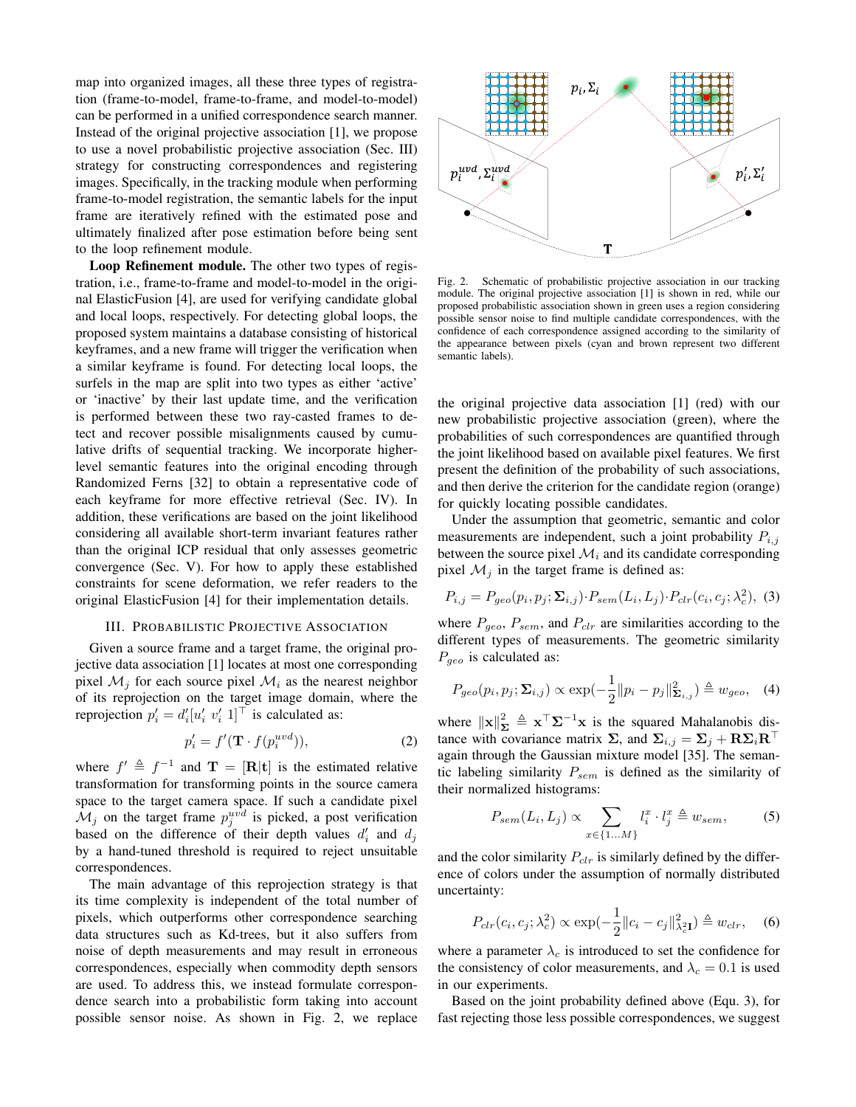map into organized images, all these three types of registration (frame-to-model, frame-to-frame, and model-to-model) can be performed in a unified correspondence search manner. Instead of the original projective association [1], we propose to use a novel probabilistic projective association (Sec. III) strategy for constructing correspondences and registering images. Specifically, in the tracking module when performing frame-to-model registration, the semantic labels for the input frame are iteratively refined with the estimated pose and ultimately finalized after pose estimation before being sent to the loop refinement module.

Loop Refinement module. The other two types of registration, i.e., frame-to-frame and model-to-model in the original ElasticFusion [4], are used for verifying candidate global and local loops, respectively. For detecting global loops, the proposed system maintains a database consisting of historical keyframes, and a new frame will trigger the verification when a similar keyframe is found. For detecting local loops, the surfels in the map are split into two types as either 'active' or 'inactive' by their last update time, and the verification is performed between these two ray-casted frames to detect and recover possible misalignments caused by cumulative drifts of sequential tracking. We incorporate higherlevel semantic features into the original encoding through Randomized Ferns [32] to obtain a representative code of each keyframe for more effective retrieval (Sec. IV). In addition, these verifications are based on the joint likelihood considering all available short-term invariant features rather than the original ICP residual that only assesses geometric convergence (Sec. V). For how to apply these established constraints for scene deformation, we refer readers to the original ElasticFusion [4] for their implementation details.

## III. PROBABILISTIC PROJECTIVE ASSOCIATION

Given a source frame and a target frame, the original projective data association [1] locates at most one corresponding pixel  $\mathcal{M}_i$  for each source pixel  $\mathcal{M}_i$  as the nearest neighbor of its reprojection on the target image domain, where the reprojection  $p'_i = d'_i [u'_i \ v'_i \ 1]^\top$  is calculated as:

$$
p_i' = f'(\mathbf{T} \cdot f(p_i^{uvd})),\tag{2}
$$

where  $f' \triangleq f^{-1}$  and  $\mathbf{T} = [\mathbf{R}|\mathbf{t}]$  is the estimated relative transformation for transforming points in the source camera space to the target camera space. If such a candidate pixel  $\mathcal{M}_j$  on the target frame  $p_j^{uvd}$  is picked, a post verification based on the difference of their depth values  $d_i'$  and  $d_j$ by a hand-tuned threshold is required to reject unsuitable correspondences.

The main advantage of this reprojection strategy is that its time complexity is independent of the total number of pixels, which outperforms other correspondence searching data structures such as Kd-trees, but it also suffers from noise of depth measurements and may result in erroneous correspondences, especially when commodity depth sensors are used. To address this, we instead formulate correspondence search into a probabilistic form taking into account possible sensor noise. As shown in Fig. 2, we replace



Fig. 2. Schematic of probabilistic projective association in our tracking module. The original projective association [1] is shown in red, while our proposed probabilistic association shown in green uses a region considering possible sensor noise to find multiple candidate correspondences, with the confidence of each correspondence assigned according to the similarity of the appearance between pixels (cyan and brown represent two different semantic labels).

the original projective data association [1] (red) with our new probabilistic projective association (green), where the probabilities of such correspondences are quantified through the joint likelihood based on available pixel features. We first present the definition of the probability of such associations, and then derive the criterion for the candidate region (orange) for quickly locating possible candidates.

Under the assumption that geometric, semantic and color measurements are independent, such a joint probability  $P_{i,j}$ between the source pixel  $\mathcal{M}_i$  and its candidate corresponding pixel  $\mathcal{M}_i$  in the target frame is defined as:

$$
P_{i,j} = P_{geo}(p_i, p_j; \Sigma_{i,j}) \cdot P_{sem}(L_i, L_j) \cdot P_{clr}(c_i, c_j; \lambda_c^2), \tag{3}
$$

where  $P_{geo}$ ,  $P_{sem}$ , and  $P_{clr}$  are similarities according to the different types of measurements. The geometric similarity  $P_{geo}$  is calculated as:

$$
P_{geo}(p_i, p_j; \Sigma_{i,j}) \propto \exp(-\frac{1}{2} ||p_i - p_j||^2_{\Sigma_{i,j}}) \triangleq w_{geo}, \quad (4)
$$

where  $\|\mathbf{x}\|_{\mathbf{\Sigma}}^2 \triangleq \mathbf{x}^{\top} \mathbf{\Sigma}^{-1} \mathbf{x}$  is the squared Mahalanobis distance with covariance matrix  $\Sigma$ , and  $\Sigma_{i,j} = \Sigma_j + R\Sigma_i R^\top$ again through the Gaussian mixture model [35]. The semantic labeling similarity  $P_{sem}$  is defined as the similarity of their normalized histograms:

$$
P_{sem}(L_i, L_j) \propto \sum_{x \in \{1...M\}} l_i^x \cdot l_j^x \triangleq w_{sem}, \tag{5}
$$

and the color similarity  $P_{clr}$  is similarly defined by the difference of colors under the assumption of normally distributed uncertainty:

$$
P_{clr}(c_i, c_j; \lambda_c^2) \propto \exp(-\frac{1}{2} ||c_i - c_j||_{\lambda_c^2}^2) \triangleq w_{clr}, \quad (6)
$$

where a parameter  $\lambda_c$  is introduced to set the confidence for the consistency of color measurements, and  $\lambda_c = 0.1$  is used in our experiments.

Based on the joint probability defined above (Equ. 3), for fast rejecting those less possible correspondences, we suggest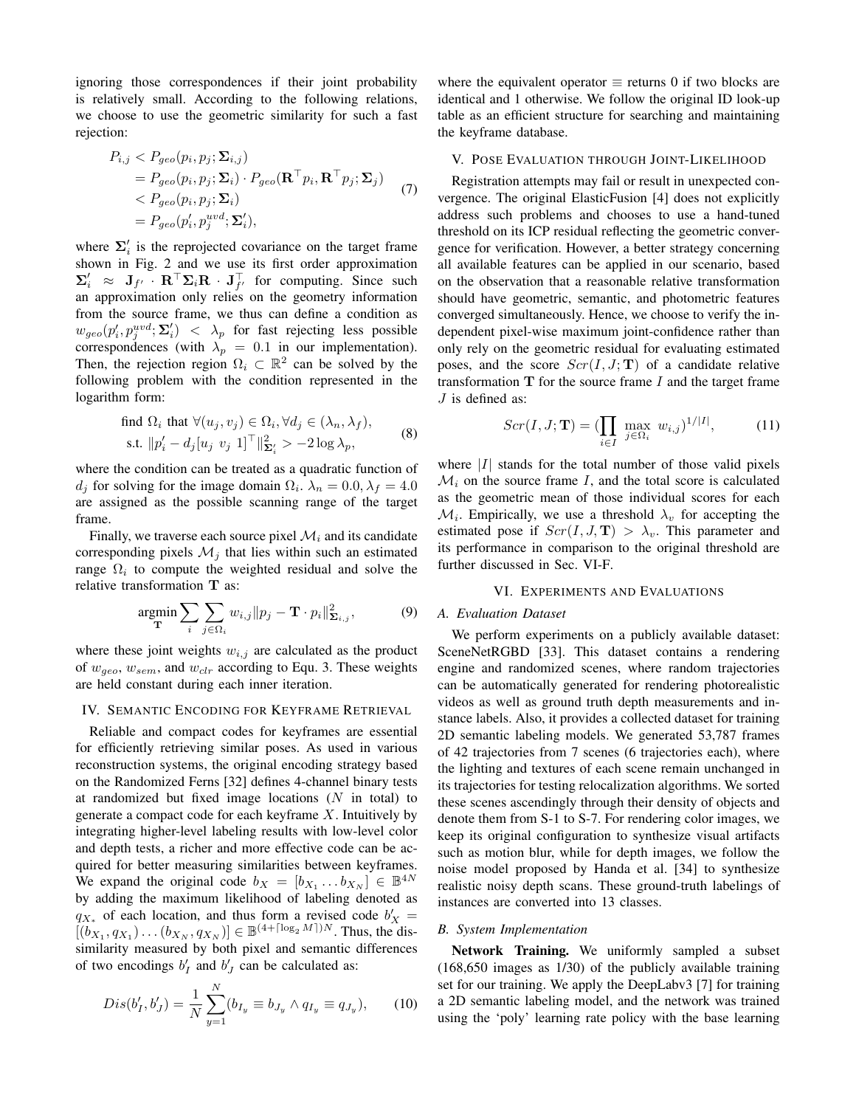ignoring those correspondences if their joint probability is relatively small. According to the following relations, we choose to use the geometric similarity for such a fast rejection:

$$
P_{i,j} < P_{geo}(p_i, p_j; \Sigma_{i,j})
$$
\n
$$
= P_{geo}(p_i, p_j; \Sigma_i) \cdot P_{geo}(\mathbf{R}^\top p_i, \mathbf{R}^\top p_j; \Sigma_j)
$$
\n
$$
\langle P_{geo}(p_i, p_j; \Sigma_i) \rangle
$$
\n
$$
= P_{geo}(p'_i, p_j^{uvd}; \Sigma'_i), \tag{7}
$$

where  $\Sigma_i'$  is the reprojected covariance on the target frame shown in Fig. 2 and we use its first order approximation  $\Sigma_i' \approx J_{f'} \cdot R^\top \Sigma_i R \cdot J_{f'}^\top$  for computing. Since such an approximation only relies on the geometry information from the source frame, we thus can define a condition as  $w_{geo}(p'_i, p_j^{uvd}; \Sigma'_i) < \lambda_p$  for fast rejecting less possible correspondences (with  $\lambda_p = 0.1$  in our implementation). Then, the rejection region  $\Omega_i \subset \mathbb{R}^2$  can be solved by the following problem with the condition represented in the logarithm form:

find 
$$
\Omega_i
$$
 that  $\forall (u_j, v_j) \in \Omega_i, \forall d_j \in (\lambda_n, \lambda_f),$   
s.t.  $||p'_i - d_j[u_j \ v_j \ 1]^\top ||_{\mathbf{\Sigma}_i'}^2 > -2 \log \lambda_p,$  (8)

where the condition can be treated as a quadratic function of  $d_j$  for solving for the image domain  $\Omega_i$ .  $\lambda_n = 0.0$ ,  $\lambda_f = 4.0$ are assigned as the possible scanning range of the target frame.

Finally, we traverse each source pixel  $\mathcal{M}_i$  and its candidate corresponding pixels  $\mathcal{M}_i$  that lies within such an estimated range  $\Omega_i$  to compute the weighted residual and solve the relative transformation T as:

$$
\underset{\mathbf{T}}{\text{argmin}} \sum_{i} \sum_{j \in \Omega_i} w_{i,j} \| p_j - \mathbf{T} \cdot p_i \|_{\mathbf{\Sigma}_{i,j}}^2, \tag{9}
$$

where these joint weights  $w_{i,j}$  are calculated as the product of  $w_{geo}$ ,  $w_{sem}$ , and  $w_{clr}$  according to Equ. 3. These weights are held constant during each inner iteration.

#### IV. SEMANTIC ENCODING FOR KEYFRAME RETRIEVAL

Reliable and compact codes for keyframes are essential for efficiently retrieving similar poses. As used in various reconstruction systems, the original encoding strategy based on the Randomized Ferns [32] defines 4-channel binary tests at randomized but fixed image locations  $(N$  in total) to generate a compact code for each keyframe  $X$ . Intuitively by integrating higher-level labeling results with low-level color and depth tests, a richer and more effective code can be acquired for better measuring similarities between keyframes. We expand the original code  $b_X = [b_{X_1} \dots b_{X_N}] \in \mathbb{B}^{4N}$ by adding the maximum likelihood of labeling denoted as  $q_{X*}$  of each location, and thus form a revised code  $b'_X$  =  $[(b_{X_1}, q_{X_1}) \dots (b_{X_N}, q_{X_N})] \in \mathbb{B}^{(4+\lceil \log_2 M \rceil)N}$ . Thus, the dissimilarity measured by both pixel and semantic differences of two encodings  $b'_I$  and  $b'_J$  can be calculated as:

$$
Dis(b'_I, b'_J) = \frac{1}{N} \sum_{y=1}^{N} (b_{I_y} \equiv b_{J_y} \land q_{I_y} \equiv q_{J_y}), \qquad (10)
$$

where the equivalent operator  $\equiv$  returns 0 if two blocks are identical and 1 otherwise. We follow the original ID look-up table as an efficient structure for searching and maintaining the keyframe database.

## V. POSE EVALUATION THROUGH JOINT-LIKELIHOOD

Registration attempts may fail or result in unexpected convergence. The original ElasticFusion [4] does not explicitly address such problems and chooses to use a hand-tuned threshold on its ICP residual reflecting the geometric convergence for verification. However, a better strategy concerning all available features can be applied in our scenario, based on the observation that a reasonable relative transformation should have geometric, semantic, and photometric features converged simultaneously. Hence, we choose to verify the independent pixel-wise maximum joint-confidence rather than only rely on the geometric residual for evaluating estimated poses, and the score  $Scr(I, J; T)$  of a candidate relative transformation  $T$  for the source frame  $I$  and the target frame  $J$  is defined as:

$$
Scr(I, J; \mathbf{T}) = (\prod_{i \in I} \max_{j \in \Omega_i} w_{i,j})^{1/|I|}, \quad (11)
$$

where  $|I|$  stands for the total number of those valid pixels  $\mathcal{M}_i$  on the source frame I, and the total score is calculated as the geometric mean of those individual scores for each  $\mathcal{M}_i$ . Empirically, we use a threshold  $\lambda_v$  for accepting the estimated pose if  $Scr(I, J, T) > \lambda_v$ . This parameter and its performance in comparison to the original threshold are further discussed in Sec. VI-F.

# VI. EXPERIMENTS AND EVALUATIONS

#### *A. Evaluation Dataset*

We perform experiments on a publicly available dataset: SceneNetRGBD [33]. This dataset contains a rendering engine and randomized scenes, where random trajectories can be automatically generated for rendering photorealistic videos as well as ground truth depth measurements and instance labels. Also, it provides a collected dataset for training 2D semantic labeling models. We generated 53,787 frames of 42 trajectories from 7 scenes (6 trajectories each), where the lighting and textures of each scene remain unchanged in its trajectories for testing relocalization algorithms. We sorted these scenes ascendingly through their density of objects and denote them from S-1 to S-7. For rendering color images, we keep its original configuration to synthesize visual artifacts such as motion blur, while for depth images, we follow the noise model proposed by Handa et al. [34] to synthesize realistic noisy depth scans. These ground-truth labelings of instances are converted into 13 classes.

## *B. System Implementation*

Network Training. We uniformly sampled a subset (168,650 images as 1/30) of the publicly available training set for our training. We apply the DeepLabv3 [7] for training a 2D semantic labeling model, and the network was trained using the 'poly' learning rate policy with the base learning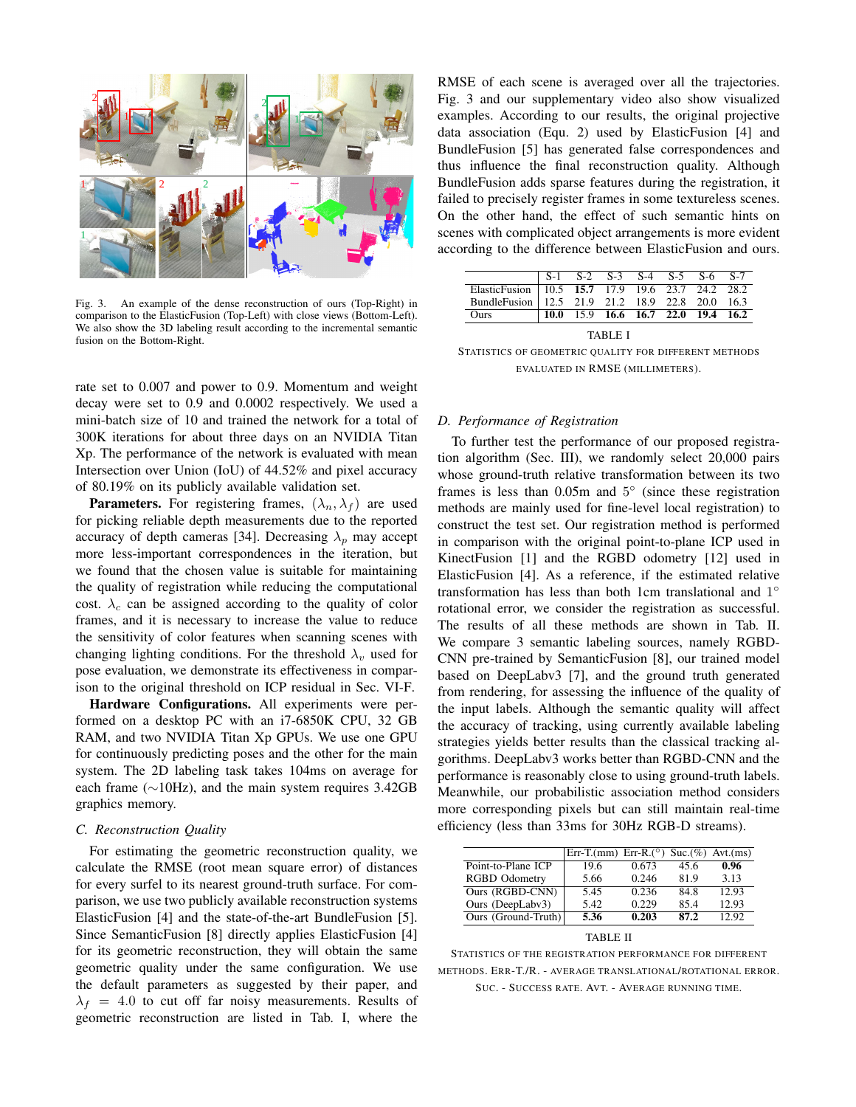

Fig. 3. An example of the dense reconstruction of ours (Top-Right) in comparison to the ElasticFusion (Top-Left) with close views (Bottom-Left). We also show the 3D labeling result according to the incremental semantic fusion on the Bottom-Right.

rate set to 0.007 and power to 0.9. Momentum and weight decay were set to 0.9 and 0.0002 respectively. We used a mini-batch size of 10 and trained the network for a total of 300K iterations for about three days on an NVIDIA Titan Xp. The performance of the network is evaluated with mean Intersection over Union (IoU) of 44.52% and pixel accuracy of 80.19% on its publicly available validation set.

**Parameters.** For registering frames,  $(\lambda_n, \lambda_f)$  are used for picking reliable depth measurements due to the reported accuracy of depth cameras [34]. Decreasing  $\lambda_p$  may accept more less-important correspondences in the iteration, but we found that the chosen value is suitable for maintaining the quality of registration while reducing the computational cost.  $\lambda_c$  can be assigned according to the quality of color frames, and it is necessary to increase the value to reduce the sensitivity of color features when scanning scenes with changing lighting conditions. For the threshold  $\lambda_v$  used for pose evaluation, we demonstrate its effectiveness in comparison to the original threshold on ICP residual in Sec. VI-F.

Hardware Configurations. All experiments were performed on a desktop PC with an i7-6850K CPU, 32 GB RAM, and two NVIDIA Titan Xp GPUs. We use one GPU for continuously predicting poses and the other for the main system. The 2D labeling task takes 104ms on average for each frame (∼10Hz), and the main system requires 3.42GB graphics memory.

### *C. Reconstruction Quality*

For estimating the geometric reconstruction quality, we calculate the RMSE (root mean square error) of distances for every surfel to its nearest ground-truth surface. For comparison, we use two publicly available reconstruction systems ElasticFusion [4] and the state-of-the-art BundleFusion [5]. Since SemanticFusion [8] directly applies ElasticFusion [4] for its geometric reconstruction, they will obtain the same geometric quality under the same configuration. We use the default parameters as suggested by their paper, and  $\lambda_f$  = 4.0 to cut off far noisy measurements. Results of geometric reconstruction are listed in Tab. I, where the

RMSE of each scene is averaged over all the trajectories. Fig. 3 and our supplementary video also show visualized examples. According to our results, the original projective data association (Equ. 2) used by ElasticFusion [4] and BundleFusion [5] has generated false correspondences and thus influence the final reconstruction quality. Although BundleFusion adds sparse features during the registration, it failed to precisely register frames in some textureless scenes. On the other hand, the effect of such semantic hints on scenes with complicated object arrangements is more evident according to the difference between ElasticFusion and ours.

|                                                                                                     |  |  | S-1 S-2 S-3 S-4 S-5 S-6 S-7                |  |  |  |  |  |
|-----------------------------------------------------------------------------------------------------|--|--|--------------------------------------------|--|--|--|--|--|
| ElasticFusion 10.5 15.7 17.9 19.6 23.7 24.2 28.2<br>BundleFusion 12.5 21.9 21.2 18.9 22.8 20.0 16.3 |  |  |                                            |  |  |  |  |  |
|                                                                                                     |  |  |                                            |  |  |  |  |  |
| <b>Ours</b>                                                                                         |  |  | $\vert$ 10.0 15.9 16.6 16.7 22.0 19.4 16.2 |  |  |  |  |  |
| TABLE I                                                                                             |  |  |                                            |  |  |  |  |  |

STATISTICS OF GEOMETRIC QUALITY FOR DIFFERENT METHODS EVALUATED IN RMSE (MILLIMETERS).

#### *D. Performance of Registration*

To further test the performance of our proposed registration algorithm (Sec. III), we randomly select 20,000 pairs whose ground-truth relative transformation between its two frames is less than 0.05m and 5° (since these registration methods are mainly used for fine-level local registration) to construct the test set. Our registration method is performed in comparison with the original point-to-plane ICP used in KinectFusion [1] and the RGBD odometry [12] used in ElasticFusion [4]. As a reference, if the estimated relative transformation has less than both 1cm translational and 1° rotational error, we consider the registration as successful. The results of all these methods are shown in Tab. II. We compare 3 semantic labeling sources, namely RGBD-CNN pre-trained by SemanticFusion [8], our trained model based on DeepLabv3 [7], and the ground truth generated from rendering, for assessing the influence of the quality of the input labels. Although the semantic quality will affect the accuracy of tracking, using currently available labeling strategies yields better results than the classical tracking algorithms. DeepLabv3 works better than RGBD-CNN and the performance is reasonably close to using ground-truth labels. Meanwhile, our probabilistic association method considers more corresponding pixels but can still maintain real-time efficiency (less than 33ms for 30Hz RGB-D streams).

|                        | Err-T.(mm) Err-R.( $\circ$ ) Suc.( $\%$ ) Avt.(ms) |       |      |       |  |  |
|------------------------|----------------------------------------------------|-------|------|-------|--|--|
| Point-to-Plane ICP     | 19.6                                               | 0.673 | 45.6 | 0.96  |  |  |
| <b>RGBD</b> Odometry   | 5.66                                               | 0.246 | 81.9 | 3.13  |  |  |
| <b>Ours (RGBD-CNN)</b> | 5.45                                               | 0.236 | 84.8 | 12.93 |  |  |
| Ours (DeepLabv3)       | 5.42                                               | 0.229 | 85.4 | 12.93 |  |  |
| Ours (Ground-Truth)    | 5.36                                               | 0.203 | 87.2 | 12.92 |  |  |
| .                      |                                                    |       |      |       |  |  |

TABLE II

STATISTICS OF THE REGISTRATION PERFORMANCE FOR DIFFERENT METHODS. ERR-T./R. - AVERAGE TRANSLATIONAL/ROTATIONAL ERROR. SUC. - SUCCESS RATE. AVT. - AVERAGE RUNNING TIME.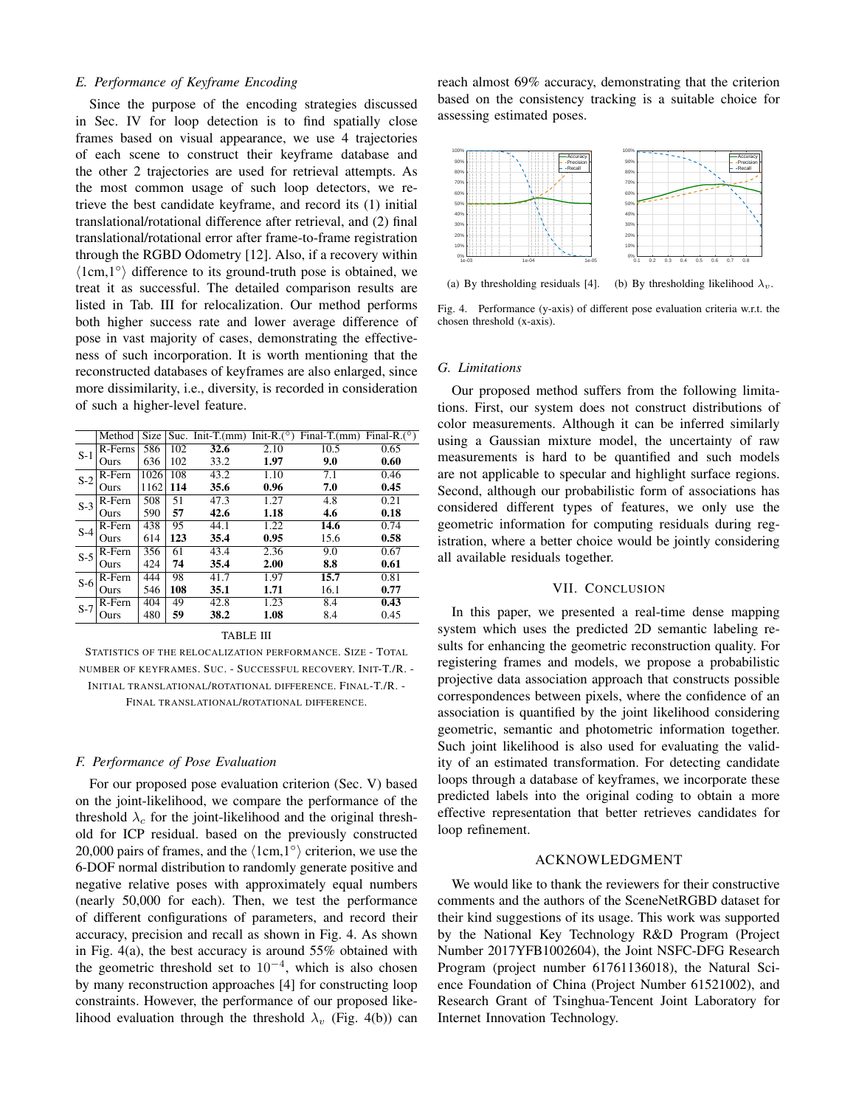## *E. Performance of Keyframe Encoding*

Since the purpose of the encoding strategies discussed in Sec. IV for loop detection is to find spatially close frames based on visual appearance, we use 4 trajectories of each scene to construct their keyframe database and the other 2 trajectories are used for retrieval attempts. As the most common usage of such loop detectors, we retrieve the best candidate keyframe, and record its (1) initial translational/rotational difference after retrieval, and (2) final translational/rotational error after frame-to-frame registration through the RGBD Odometry [12]. Also, if a recovery within  $\langle$ 1cm,1° $\rangle$  difference to its ground-truth pose is obtained, we treat it as successful. The detailed comparison results are listed in Tab. III for relocalization. Our method performs both higher success rate and lower average difference of pose in vast majority of cases, demonstrating the effectiveness of such incorporation. It is worth mentioning that the reconstructed databases of keyframes are also enlarged, since more dissimilarity, i.e., diversity, is recorded in consideration of such a higher-level feature.

|       | Method  | <b>Size</b> |     | Suc. Init-T.(mm) Init-R.( $\circ$ ) |      | Final-T.(mm) Final-R.( $^{\circ}$ ) |      |  |
|-------|---------|-------------|-----|-------------------------------------|------|-------------------------------------|------|--|
| $S-1$ | R-Ferns | 586         | 102 | 32.6                                | 2.10 | 10.5                                | 0.65 |  |
|       | Ours    | 636         | 102 | 33.2                                | 1.97 | 9.0                                 | 0.60 |  |
| $S-2$ | R-Fern  | 1026        | 108 | 43.2                                | 1.10 | 7.1                                 | 0.46 |  |
|       | Ours    | 1162        | 114 | 35.6                                | 0.96 | 7.0                                 | 0.45 |  |
| $S-3$ | R-Fern  | 508         | 51  | 47.3                                | 1.27 | 4.8                                 | 0.21 |  |
|       | Ours    | 590         | 57  | 42.6                                | 1.18 | 4.6                                 | 0.18 |  |
| $S-4$ | R-Fern  | 438         | 95  | 44.1                                | 1.22 | 14.6                                | 0.74 |  |
|       | Ours    | 614         | 123 | 35.4                                | 0.95 | 15.6                                | 0.58 |  |
| $S-5$ | R-Fern  | 356         | 61  | 43.4                                | 2.36 | 9.0                                 | 0.67 |  |
|       | Ours    | 424         | 74  | 35.4                                | 2.00 | 8.8                                 | 0.61 |  |
| $S-6$ | R-Fern  | 444         | 98  | 41.7                                | 1.97 | 15.7                                | 0.81 |  |
|       | Ours    | 546         | 108 | 35.1                                | 1.71 | 16.1                                | 0.77 |  |
| $S-7$ | R-Fern  | 404         | 49  | 42.8                                | 1.23 | 8.4                                 | 0.43 |  |
|       | Ours    | 480         | 59  | 38.2                                | 1.08 | 8.4                                 | 0.45 |  |
|       |         |             |     |                                     |      |                                     |      |  |

#### TABLE III

STATISTICS OF THE RELOCALIZATION PERFORMANCE. SIZE - TOTAL NUMBER OF KEYFRAMES. SUC. - SUCCESSFUL RECOVERY. INIT-T./R. - INITIAL TRANSLATIONAL/ROTATIONAL DIFFERENCE. FINAL-T./R. - FINAL TRANSLATIONAL/ROTATIONAL DIFFERENCE.

## *F. Performance of Pose Evaluation*

For our proposed pose evaluation criterion (Sec. V) based on the joint-likelihood, we compare the performance of the threshold  $\lambda_c$  for the joint-likelihood and the original threshold for ICP residual. based on the previously constructed 20,000 pairs of frames, and the  $\langle 1cm,1° \rangle$  criterion, we use the 6-DOF normal distribution to randomly generate positive and negative relative poses with approximately equal numbers (nearly 50,000 for each). Then, we test the performance of different configurations of parameters, and record their accuracy, precision and recall as shown in Fig. 4. As shown in Fig. 4(a), the best accuracy is around 55% obtained with the geometric threshold set to  $10^{-4}$ , which is also chosen by many reconstruction approaches [4] for constructing loop constraints. However, the performance of our proposed likelihood evaluation through the threshold  $\lambda_v$  (Fig. 4(b)) can

reach almost 69% accuracy, demonstrating that the criterion based on the consistency tracking is a suitable choice for assessing estimated poses.



(a) By thresholding residuals [4]. (b) By thresholding likelihood  $\lambda_v$ .

Fig. 4. Performance (y-axis) of different pose evaluation criteria w.r.t. the chosen threshold (x-axis).

#### *G. Limitations*

Our proposed method suffers from the following limitations. First, our system does not construct distributions of color measurements. Although it can be inferred similarly using a Gaussian mixture model, the uncertainty of raw measurements is hard to be quantified and such models are not applicable to specular and highlight surface regions. Second, although our probabilistic form of associations has considered different types of features, we only use the geometric information for computing residuals during registration, where a better choice would be jointly considering all available residuals together.

### VII. CONCLUSION

In this paper, we presented a real-time dense mapping system which uses the predicted 2D semantic labeling results for enhancing the geometric reconstruction quality. For registering frames and models, we propose a probabilistic projective data association approach that constructs possible correspondences between pixels, where the confidence of an association is quantified by the joint likelihood considering geometric, semantic and photometric information together. Such joint likelihood is also used for evaluating the validity of an estimated transformation. For detecting candidate loops through a database of keyframes, we incorporate these predicted labels into the original coding to obtain a more effective representation that better retrieves candidates for loop refinement.

#### ACKNOWLEDGMENT

We would like to thank the reviewers for their constructive comments and the authors of the SceneNetRGBD dataset for their kind suggestions of its usage. This work was supported by the National Key Technology R&D Program (Project Number 2017YFB1002604), the Joint NSFC-DFG Research Program (project number 61761136018), the Natural Science Foundation of China (Project Number 61521002), and Research Grant of Tsinghua-Tencent Joint Laboratory for Internet Innovation Technology.